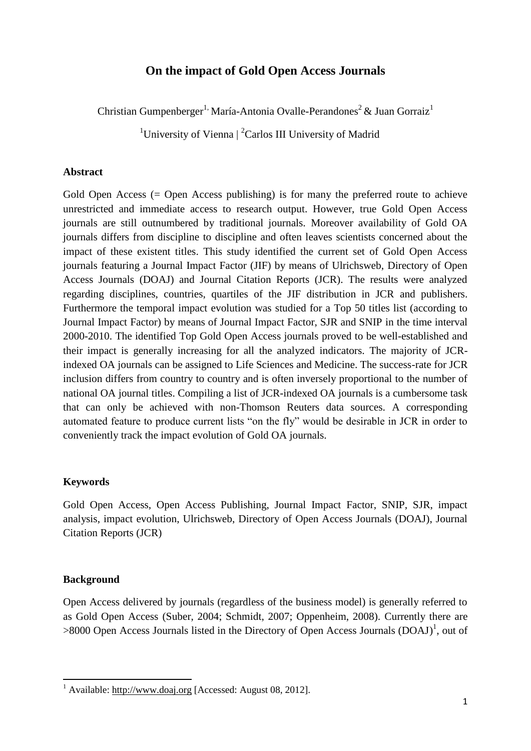### **On the impact of Gold Open Access Journals**

Christian Gumpenberger<sup>1,</sup> María-Antonia Ovalle-Perandones<sup>2</sup> & Juan Gorraiz<sup>1</sup>

<sup>1</sup>University of Vienna  $\int_{0}^{2}$ Carlos III University of Madrid

#### **Abstract**

Gold Open Access (= Open Access publishing) is for many the preferred route to achieve unrestricted and immediate access to research output. However, true Gold Open Access journals are still outnumbered by traditional journals. Moreover availability of Gold OA journals differs from discipline to discipline and often leaves scientists concerned about the impact of these existent titles. This study identified the current set of Gold Open Access journals featuring a Journal Impact Factor (JIF) by means of Ulrichsweb, Directory of Open Access Journals (DOAJ) and Journal Citation Reports (JCR). The results were analyzed regarding disciplines, countries, quartiles of the JIF distribution in JCR and publishers. Furthermore the temporal impact evolution was studied for a Top 50 titles list (according to Journal Impact Factor) by means of Journal Impact Factor, SJR and SNIP in the time interval 2000-2010. The identified Top Gold Open Access journals proved to be well-established and their impact is generally increasing for all the analyzed indicators. The majority of JCRindexed OA journals can be assigned to Life Sciences and Medicine. The success-rate for JCR inclusion differs from country to country and is often inversely proportional to the number of national OA journal titles. Compiling a list of JCR-indexed OA journals is a cumbersome task that can only be achieved with non-Thomson Reuters data sources. A corresponding automated feature to produce current lists "on the fly" would be desirable in JCR in order to conveniently track the impact evolution of Gold OA journals.

#### **Keywords**

Gold Open Access, Open Access Publishing, Journal Impact Factor, SNIP, SJR, impact analysis, impact evolution, Ulrichsweb, Directory of Open Access Journals (DOAJ), Journal Citation Reports (JCR)

#### **Background**

**.** 

Open Access delivered by journals (regardless of the business model) is generally referred to as Gold Open Access (Suber, 2004; Schmidt, 2007; Oppenheim, 2008). Currently there are >8000 Open Access Journals listed in the Directory of Open Access Journals (DOAJ)<sup>1</sup>, out of

 $1$  Available: [http://www.doaj.org](http://www.doaj.org/) [Accessed: August 08, 2012].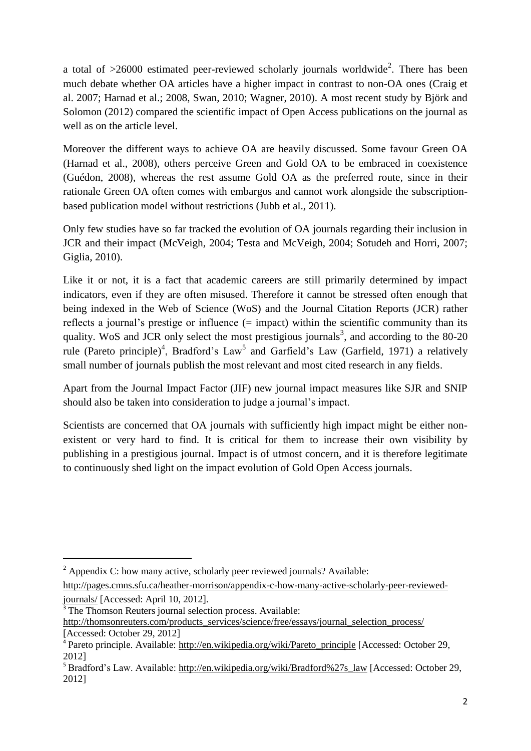a total of  $>26000$  estimated peer-reviewed scholarly journals worldwide<sup>2</sup>. There has been much debate whether OA articles have a higher impact in contrast to non-OA ones (Craig et al. 2007; Harnad et al.; 2008, Swan, 2010; Wagner, 2010). A most recent study by Björk and Solomon (2012) compared the scientific impact of Open Access publications on the journal as well as on the article level.

Moreover the different ways to achieve OA are heavily discussed. Some favour Green OA (Harnad et al., 2008), others perceive Green and Gold OA to be embraced in coexistence (Guédon, 2008), whereas the rest assume Gold OA as the preferred route, since in their rationale Green OA often comes with embargos and cannot work alongside the subscriptionbased publication model without restrictions (Jubb et al., 2011).

Only few studies have so far tracked the evolution of OA journals regarding their inclusion in JCR and their impact (McVeigh, 2004; Testa and McVeigh, 2004; Sotudeh and Horri, 2007; Giglia, 2010).

Like it or not, it is a fact that academic careers are still primarily determined by impact indicators, even if they are often misused. Therefore it cannot be stressed often enough that being indexed in the Web of Science (WoS) and the Journal Citation Reports (JCR) rather reflects a journal's prestige or influence (= impact) within the scientific community than its quality. WoS and JCR only select the most prestigious journals<sup>3</sup>, and according to the 80-20 rule (Pareto principle)<sup>4</sup>, Bradford's Law<sup>5</sup> and Garfield's Law (Garfield, 1971) a relatively small number of journals publish the most relevant and most cited research in any fields.

Apart from the Journal Impact Factor (JIF) new journal impact measures like SJR and SNIP should also be taken into consideration to judge a journal's impact.

Scientists are concerned that OA journals with sufficiently high impact might be either nonexistent or very hard to find. It is critical for them to increase their own visibility by publishing in a prestigious journal. Impact is of utmost concern, and it is therefore legitimate to continuously shed light on the impact evolution of Gold Open Access journals.

1

 $2 \text{ Appendix C: how many active, scholarly peer reviewed journals? Available:}$ 

[http://pages.cmns.sfu.ca/heather-morrison/appendix-c-how-many-active-scholarly-peer-reviewed](http://pages.cmns.sfu.ca/heather-morrison/appendix-c-how-many-active-scholarly-peer-reviewed-journals/)[journals/](http://pages.cmns.sfu.ca/heather-morrison/appendix-c-how-many-active-scholarly-peer-reviewed-journals/) [Accessed: April 10, 2012].

<sup>&</sup>lt;sup>3</sup>The Thomson Reuters journal selection process. Available:

[http://thomsonreuters.com/products\\_services/science/free/essays/journal\\_selection\\_process/](http://thomsonreuters.com/products_services/science/free/essays/journal_selection_process/) [Accessed: October 29, 2012]

<sup>&</sup>lt;sup>4</sup> Pareto principle. Available: [http://en.wikipedia.org/wiki/Pareto\\_principle](http://en.wikipedia.org/wiki/Pareto_principle) [Accessed: October 29, 2012]

<sup>&</sup>lt;sup>5</sup> Bradford's Law. Available: [http://en.wikipedia.org/wiki/Bradford%27s\\_law](http://en.wikipedia.org/wiki/Bradford%27s_law) [Accessed: October 29, 2012]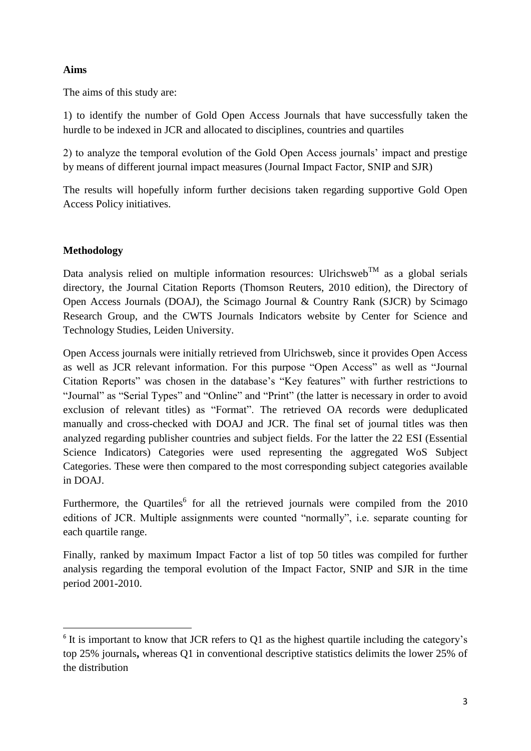### **Aims**

The aims of this study are:

1) to identify the number of Gold Open Access Journals that have successfully taken the hurdle to be indexed in JCR and allocated to disciplines, countries and quartiles

2) to analyze the temporal evolution of the Gold Open Access journals' impact and prestige by means of different journal impact measures (Journal Impact Factor, SNIP and SJR)

The results will hopefully inform further decisions taken regarding supportive Gold Open Access Policy initiatives.

# **Methodology**

Data analysis relied on multiple information resources: Ulrichsweb<sup>TM</sup> as a global serials directory, the Journal Citation Reports (Thomson Reuters, 2010 edition), the Directory of Open Access Journals (DOAJ), the Scimago Journal & Country Rank (SJCR) by Scimago Research Group, and the CWTS Journals Indicators website by Center for Science and Technology Studies, Leiden University.

Open Access journals were initially retrieved from Ulrichsweb, since it provides Open Access as well as JCR relevant information. For this purpose "Open Access" as well as "Journal Citation Reports" was chosen in the database's "Key features" with further restrictions to "Journal" as "Serial Types" and "Online" and "Print" (the latter is necessary in order to avoid exclusion of relevant titles) as "Format". The retrieved OA records were deduplicated manually and cross-checked with DOAJ and JCR. The final set of journal titles was then analyzed regarding publisher countries and subject fields. For the latter the 22 ESI (Essential Science Indicators) Categories were used representing the aggregated WoS Subject Categories. These were then compared to the most corresponding subject categories available in DOAJ.

Furthermore, the Quartiles<sup>6</sup> for all the retrieved journals were compiled from the  $2010$ editions of JCR. Multiple assignments were counted "normally", i.e. separate counting for each quartile range.

Finally, ranked by maximum Impact Factor a list of top 50 titles was compiled for further analysis regarding the temporal evolution of the Impact Factor, SNIP and SJR in the time period 2001-2010.

**<sup>.</sup>**  $6$  It is important to know that JCR refers to Q1 as the highest quartile including the category's top 25% journals**,** whereas Q1 in conventional descriptive statistics delimits the lower 25% of the distribution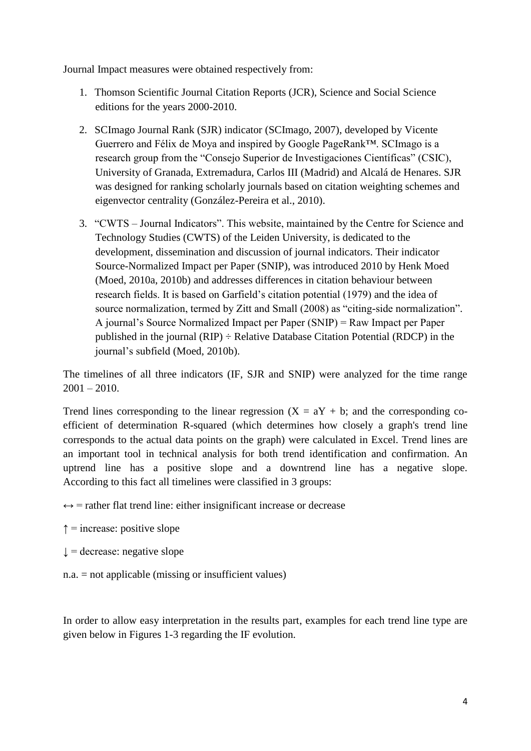Journal Impact measures were obtained respectively from:

- 1. Thomson Scientific Journal Citation Reports (JCR), Science and Social Science editions for the years 2000-2010.
- 2. SCImago Journal Rank (SJR) indicator (SCImago, 2007), developed by Vicente Guerrero and Félix de Moya and inspired by Google PageRank™. SCImago is a research group from the "Consejo Superior de Investigaciones Científicas" (CSIC), University of Granada, Extremadura, Carlos III (Madrid) and Alcalá de Henares. SJR was designed for ranking scholarly journals based on citation weighting schemes and eigenvector centrality (González-Pereira et al., 2010).
- 3. "CWTS Journal Indicators". This website, maintained by the Centre for Science and Technology Studies (CWTS) of the Leiden University, is dedicated to the development, dissemination and discussion of journal indicators. Their indicator Source-Normalized Impact per Paper (SNIP), was introduced 2010 by Henk Moed (Moed, 2010a, 2010b) and addresses differences in citation behaviour between research fields. It is based on Garfield's citation potential (1979) and the idea of source normalization, termed by Zitt and Small (2008) as "citing-side normalization". A journal's Source Normalized Impact per Paper (SNIP) = Raw Impact per Paper published in the journal  $(RIP) \div Relative Database Citation Potential (RDCP)$  in the journal's subfield (Moed, 2010b).

The timelines of all three indicators (IF, SJR and SNIP) were analyzed for the time range  $2001 - 2010$ .

Trend lines corresponding to the linear regression  $(X = aY + b)$ ; and the corresponding coefficient of determination R-squared (which determines how closely a graph's trend line corresponds to the actual data points on the graph) were calculated in Excel. Trend lines are an important tool in technical analysis for both trend identification and confirmation. An uptrend line has a positive [slope](http://stockcharts.com/school/doku.php?id=chart_school:glossary_s#slope) and a downtrend line has a negative slope. According to this fact all timelines were classified in 3 groups:

 $\leftrightarrow$  = rather flat trend line: either insignificant increase or decrease

- $\uparrow$  = increase: positive slope
- $\downarrow$  = decrease: negative slope
- n.a. = not applicable (missing or insufficient values)

In order to allow easy interpretation in the results part, examples for each trend line type are given below in Figures 1-3 regarding the IF evolution.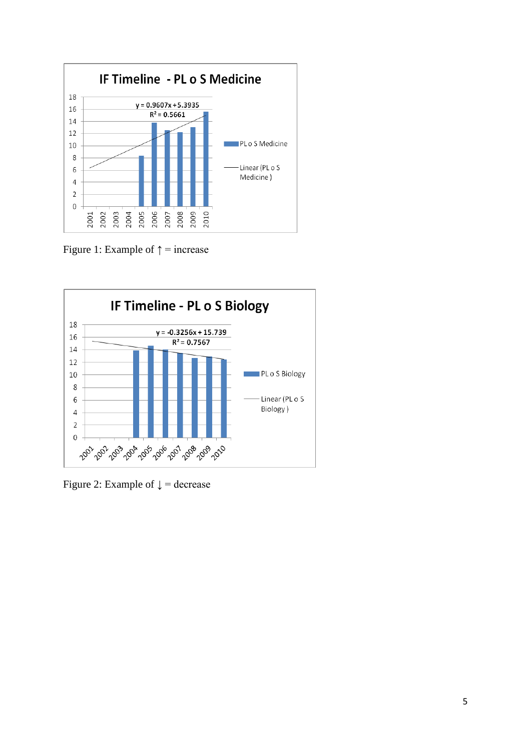

Figure 1: Example of  $\uparrow$  = increase



Figure 2: Example of  $\downarrow$  = decrease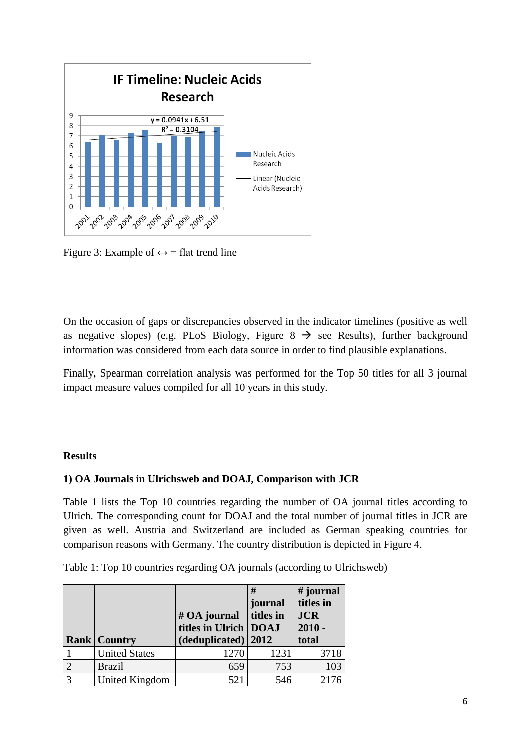

Figure 3: Example of  $\leftrightarrow$  = flat trend line

On the occasion of gaps or discrepancies observed in the indicator timelines (positive as well as negative slopes) (e.g. PLoS Biology, Figure  $8 \rightarrow$  see Results), further background information was considered from each data source in order to find plausible explanations.

Finally, Spearman correlation analysis was performed for the Top 50 titles for all 3 journal impact measure values compiled for all 10 years in this study.

### **Results**

### **1) OA Journals in Ulrichsweb and DOAJ, Comparison with JCR**

Table 1 lists the Top 10 countries regarding the number of OA journal titles according to Ulrich. The corresponding count for DOAJ and the total number of journal titles in JCR are given as well. Austria and Switzerland are included as German speaking countries for comparison reasons with Germany. The country distribution is depicted in Figure 4.

Table 1: Top 10 countries regarding OA journals (according to Ulrichsweb)

|                |                       | # OA journal<br>titles in Ulrich   DOAJ | #<br>journal<br>titles in | # journal<br>titles in<br><b>JCR</b><br>$2010 -$ |
|----------------|-----------------------|-----------------------------------------|---------------------------|--------------------------------------------------|
|                | <b>Rank   Country</b> | (deduplicated)   2012                   |                           | total                                            |
|                | <b>United States</b>  | 1270                                    | 1231                      | 3718                                             |
|                | <b>Brazil</b>         | 659                                     | 753                       | 103                                              |
| $\overline{3}$ | United Kingdom        | 521                                     | 546                       | 2176                                             |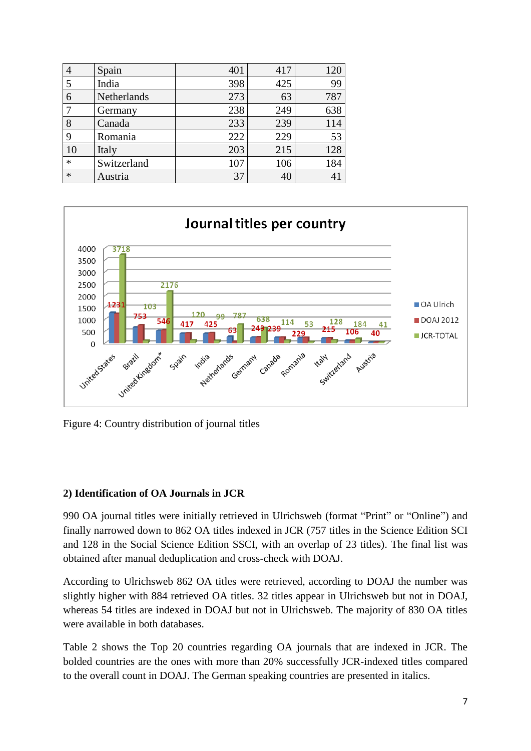| $\overline{4}$ | Spain       | 401 | 417 | 120 |
|----------------|-------------|-----|-----|-----|
|                | India       | 398 | 425 | 99  |
| 6              | Netherlands | 273 | 63  | 787 |
|                | Germany     | 238 | 249 | 638 |
| 8              | Canada      | 233 | 239 | 114 |
| 9              | Romania     | 222 | 229 | 53  |
| 10             | Italy       | 203 | 215 | 128 |
| $\ast$         | Switzerland | 107 | 106 | 184 |
| $\ast$         | Austria     | 37  | 40  | 41  |



Figure 4: Country distribution of journal titles

### **2) Identification of OA Journals in JCR**

990 OA journal titles were initially retrieved in Ulrichsweb (format "Print" or "Online") and finally narrowed down to 862 OA titles indexed in JCR (757 titles in the Science Edition SCI and 128 in the Social Science Edition SSCI, with an overlap of 23 titles). The final list was obtained after manual deduplication and cross-check with DOAJ.

According to Ulrichsweb 862 OA titles were retrieved, according to DOAJ the number was slightly higher with 884 retrieved OA titles. 32 titles appear in Ulrichsweb but not in DOAJ, whereas 54 titles are indexed in DOAJ but not in Ulrichsweb. The majority of 830 OA titles were available in both databases.

Table 2 shows the Top 20 countries regarding OA journals that are indexed in JCR. The bolded countries are the ones with more than 20% successfully JCR-indexed titles compared to the overall count in DOAJ. The German speaking countries are presented in italics.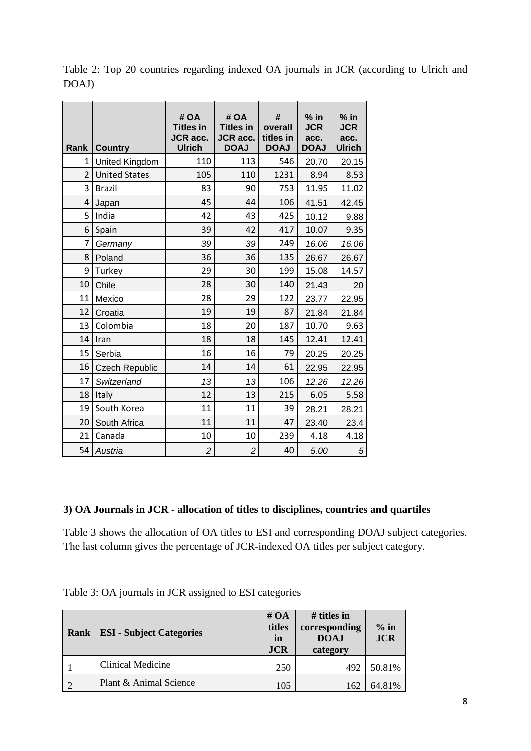| Rank           | <b>Country</b>        | # OA<br><b>Titles in</b><br><b>JCR</b> acc.<br><b>Ulrich</b> | #OA<br><b>Titles in</b><br><b>JCR</b> acc.<br><b>DOAJ</b> | #<br>overall<br>titles in<br><b>DOAJ</b> | $%$ in<br><b>JCR</b><br>acc.<br><b>DOAJ</b> | $%$ in<br><b>JCR</b><br>acc.<br><b>Ulrich</b> |
|----------------|-----------------------|--------------------------------------------------------------|-----------------------------------------------------------|------------------------------------------|---------------------------------------------|-----------------------------------------------|
| 1              | United Kingdom        | 110                                                          | 113                                                       | 546                                      | 20.70                                       | 20.15                                         |
| $\overline{2}$ | <b>United States</b>  | 105                                                          | 110                                                       | 1231                                     | 8.94                                        | 8.53                                          |
| 3              | <b>Brazil</b>         | 83                                                           | 90                                                        | 753                                      | 11.95                                       | 11.02                                         |
| 4              | Japan                 | 45                                                           | 44                                                        | 106                                      | 41.51                                       | 42.45                                         |
| 5              | India                 | 42                                                           | 43                                                        | 425                                      | 10.12                                       | 9.88                                          |
| 6              | Spain                 | 39                                                           | 42                                                        | 417                                      | 10.07                                       | 9.35                                          |
| 7              | Germany               | 39                                                           | 39                                                        | 249                                      | 16.06                                       | 16.06                                         |
| 8              | Poland                | 36                                                           | 36                                                        | 135                                      | 26.67                                       | 26.67                                         |
| 9              | Turkey                | 29                                                           | 30                                                        | 199                                      | 15.08                                       | 14.57                                         |
| 10             | Chile                 | 28                                                           | 30                                                        | 140                                      | 21.43                                       | 20                                            |
| 11             | Mexico                | 28                                                           | 29                                                        | 122                                      | 23.77                                       | 22.95                                         |
| 12             | Croatia               | 19                                                           | 19                                                        | 87                                       | 21.84                                       | 21.84                                         |
| 13             | Colombia              | 18                                                           | 20                                                        | 187                                      | 10.70                                       | 9.63                                          |
| 14             | Iran                  | 18                                                           | 18                                                        | 145                                      | 12.41                                       | 12.41                                         |
| 15             | Serbia                | 16                                                           | 16                                                        | 79                                       | 20.25                                       | 20.25                                         |
| 16             | <b>Czech Republic</b> | 14                                                           | 14                                                        | 61                                       | 22.95                                       | 22.95                                         |
| 17             | Switzerland           | 13                                                           | 13                                                        | 106                                      | 12.26                                       | 12.26                                         |
| 18             | Italy                 | 12                                                           | 13                                                        | 215                                      | 6.05                                        | 5.58                                          |
| 19             | South Korea           | 11                                                           | 11                                                        | 39                                       | 28.21                                       | 28.21                                         |
| 20             | South Africa          | 11                                                           | 11                                                        | 47                                       | 23.40                                       | 23.4                                          |
| 21             | Canada                | 10                                                           | 10                                                        | 239                                      | 4.18                                        | 4.18                                          |
| 54             | Austria               | $\overline{c}$                                               | $\overline{c}$                                            | 40                                       | 5.00                                        | 5                                             |

Table 2: Top 20 countries regarding indexed OA journals in JCR (according to Ulrich and DOAJ)

## **3) OA Journals in JCR - allocation of titles to disciplines, countries and quartiles**

Table 3 shows the allocation of OA titles to ESI and corresponding DOAJ subject categories. The last column gives the percentage of JCR-indexed OA titles per subject category.

| Rank | <b>ESI</b> - Subject Categories | # $OA$<br>titles<br>in<br><b>JCR</b> | # titles in<br>corresponding<br><b>DOAJ</b><br>category | $%$ in<br><b>JCR</b> |
|------|---------------------------------|--------------------------------------|---------------------------------------------------------|----------------------|
|      | Clinical Medicine               | 250                                  | 492                                                     | 50.81%               |
| ി    | Plant & Animal Science          | 105                                  | 162                                                     | 64.81%               |

Table 3: OA journals in JCR assigned to ESI categories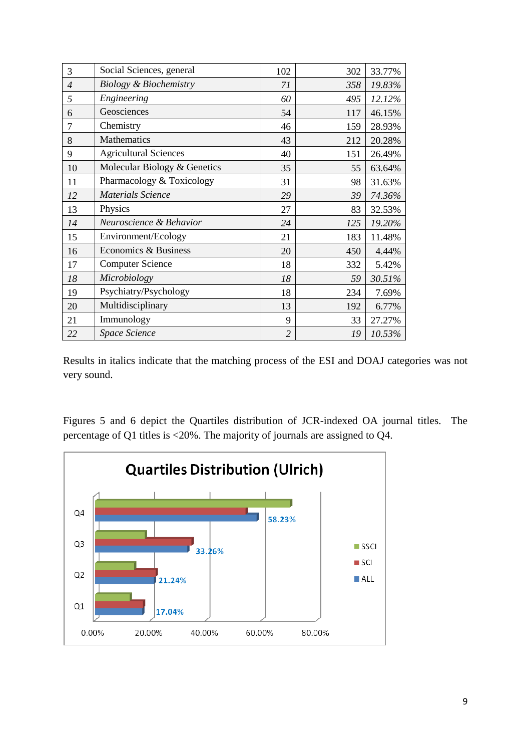| 3              | Social Sciences, general          | 102            | 302 | 33.77% |
|----------------|-----------------------------------|----------------|-----|--------|
| $\overline{4}$ | <b>Biology &amp; Biochemistry</b> | 71             | 358 | 19.83% |
| 5              | Engineering                       | 60             | 495 | 12.12% |
| 6              | Geosciences                       | 54             | 117 | 46.15% |
| 7              | Chemistry                         | 46             | 159 | 28.93% |
| 8              | Mathematics                       | 43             | 212 | 20.28% |
| 9              | <b>Agricultural Sciences</b>      | 40             | 151 | 26.49% |
| 10             | Molecular Biology & Genetics      | 35             | 55  | 63.64% |
| 11             | Pharmacology & Toxicology         | 31             | 98  | 31.63% |
| 12             | <b>Materials Science</b>          | 29             | 39  | 74.36% |
| 13             | Physics                           | 27             | 83  | 32.53% |
| 14             | Neuroscience & Behavior           | 24             | 125 | 19.20% |
| 15             | Environment/Ecology               | 21             | 183 | 11.48% |
| 16             | Economics & Business              | 20             | 450 | 4.44%  |
| 17             | <b>Computer Science</b>           | 18             | 332 | 5.42%  |
| 18             | Microbiology                      | 18             | 59  | 30.51% |
| 19             | Psychiatry/Psychology             | 18             | 234 | 7.69%  |
| 20             | Multidisciplinary                 | 13             | 192 | 6.77%  |
| 21             | Immunology                        | 9              | 33  | 27.27% |
| 22             | Space Science                     | $\overline{2}$ | 19  | 10.53% |

Results in italics indicate that the matching process of the ESI and DOAJ categories was not very sound.

Figures 5 and 6 depict the Quartiles distribution of JCR-indexed OA journal titles. The percentage of Q1 titles is <20%. The majority of journals are assigned to Q4.

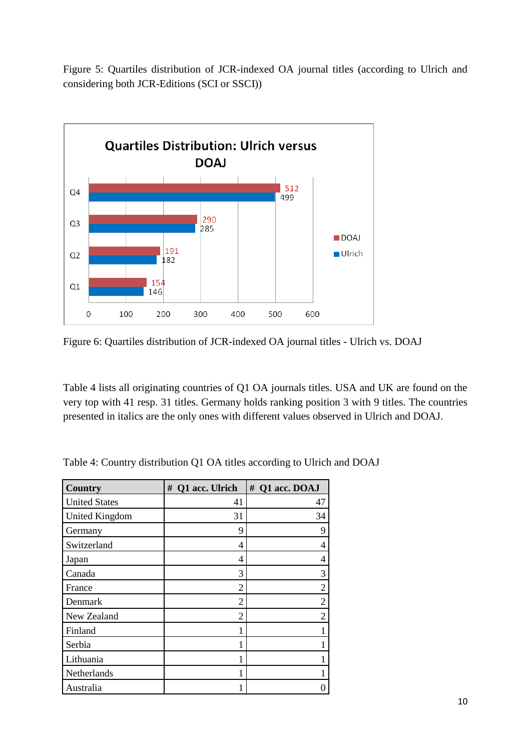Figure 5: Quartiles distribution of JCR-indexed OA journal titles (according to Ulrich and considering both JCR-Editions (SCI or SSCI))



Figure 6: Quartiles distribution of JCR-indexed OA journal titles - Ulrich vs. DOAJ

Table 4 lists all originating countries of Q1 OA journals titles. USA and UK are found on the very top with 41 resp. 31 titles. Germany holds ranking position 3 with 9 titles. The countries presented in italics are the only ones with different values observed in Ulrich and DOAJ.

| <b>Country</b>        | Q1 acc. Ulrich<br># | # Q1 acc. DOAJ |
|-----------------------|---------------------|----------------|
| <b>United States</b>  | 41                  | 47             |
| <b>United Kingdom</b> | 31                  | 34             |
| Germany               | 9                   | 9              |
| Switzerland           | 4                   | 4              |
| Japan                 | 4                   | 4              |
| Canada                | 3                   | 3              |
| France                | $\overline{2}$      | 2              |
| Denmark               | $\overline{2}$      | 2              |
| New Zealand           | $\overline{2}$      | 2              |
| Finland               | 1                   |                |
| Serbia                | 1                   |                |
| Lithuania             | 1                   |                |
| Netherlands           | 1                   |                |
| Australia             | 1                   | 0              |

Table 4: Country distribution Q1 OA titles according to Ulrich and DOAJ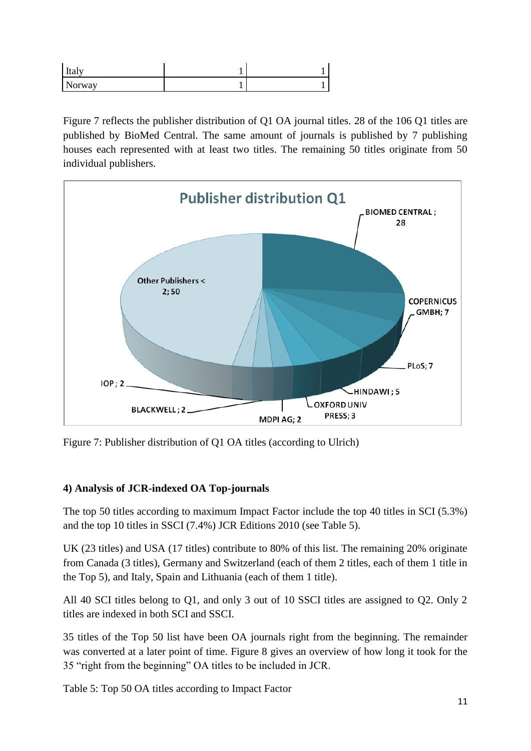| Italy  |  |
|--------|--|
| Norway |  |

Figure 7 reflects the publisher distribution of Q1 OA journal titles. 28 of the 106 Q1 titles are published by BioMed Central. The same amount of journals is published by 7 publishing houses each represented with at least two titles. The remaining 50 titles originate from 50 individual publishers.



Figure 7: Publisher distribution of Q1 OA titles (according to Ulrich)

# **4) Analysis of JCR-indexed OA Top-journals**

The top 50 titles according to maximum Impact Factor include the top 40 titles in SCI (5.3%) and the top 10 titles in SSCI (7.4%) JCR Editions 2010 (see Table 5).

UK (23 titles) and USA (17 titles) contribute to 80% of this list. The remaining 20% originate from Canada (3 titles), Germany and Switzerland (each of them 2 titles, each of them 1 title in the Top 5), and Italy, Spain and Lithuania (each of them 1 title).

All 40 SCI titles belong to Q1, and only 3 out of 10 SSCI titles are assigned to Q2. Only 2 titles are indexed in both SCI and SSCI.

35 titles of the Top 50 list have been OA journals right from the beginning. The remainder was converted at a later point of time. Figure 8 gives an overview of how long it took for the 35 "right from the beginning" OA titles to be included in JCR.

Table 5: Top 50 OA titles according to Impact Factor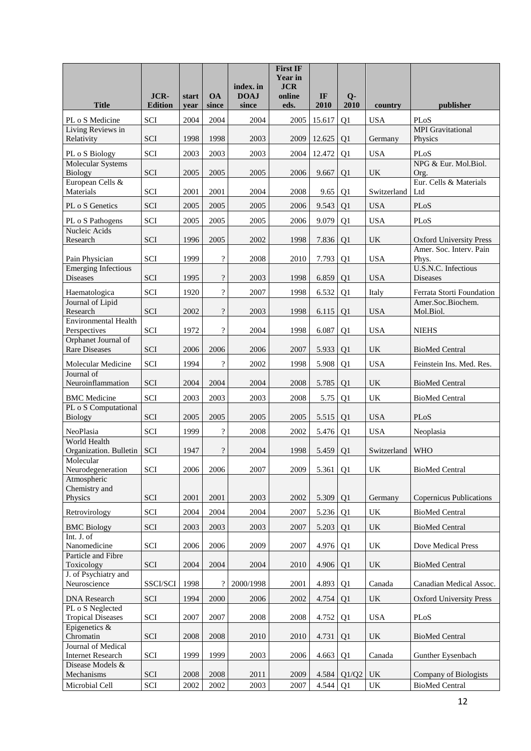|                                                                    |                        |               |                            |                      | <b>First IF</b><br><b>Year in</b> |            |                      |                                   |                                                |
|--------------------------------------------------------------------|------------------------|---------------|----------------------------|----------------------|-----------------------------------|------------|----------------------|-----------------------------------|------------------------------------------------|
|                                                                    |                        |               |                            | index. in            | <b>JCR</b>                        |            |                      |                                   |                                                |
| <b>Title</b>                                                       | JCR-<br><b>Edition</b> | start<br>year | <b>OA</b><br>since         | <b>DOAJ</b><br>since | online<br>eds.                    | IF<br>2010 | $Q-$<br>2010         | country                           | publisher                                      |
| PL o S Medicine                                                    | SCI                    | 2004          | 2004                       | 2004                 | 2005                              | 15.617     | Q1                   | <b>USA</b>                        | PLoS                                           |
| Living Reviews in<br>Relativity                                    | SCI                    | 1998          | 1998                       | 2003                 | 2009                              | 12.625     | Q <sub>1</sub>       | Germany                           | <b>MPI</b> Gravitational<br>Physics            |
| PL o S Biology                                                     | SCI                    | 2003          | 2003                       | 2003                 | 2004                              | 12.472     | Q <sub>1</sub>       | <b>USA</b>                        | PLoS                                           |
| <b>Molecular Systems</b><br><b>Biology</b>                         | SCI                    | 2005          | 2005                       | 2005                 | 2006                              | 9.667      | Q <sub>1</sub>       | UK                                | NPG & Eur. Mol.Biol.<br>Org.                   |
| European Cells &<br>Materials                                      | SCI                    | 2001          | 2001                       | 2004                 | 2008                              | 9.65       | Q <sub>1</sub>       | Switzerland                       | Eur. Cells & Materials<br>Ltd                  |
| PL o S Genetics                                                    | SCI                    | 2005          | 2005                       | 2005                 | 2006                              | 9.543      | Q1                   | <b>USA</b>                        | PLoS                                           |
| PL o S Pathogens                                                   | SCI                    | 2005          | 2005                       | 2005                 | 2006                              | 9.079      | Q1                   | <b>USA</b>                        | PLoS                                           |
| Nucleic Acids<br>Research                                          | SCI                    | 1996          | 2005                       | 2002                 | 1998                              | 7.836      | Q <sub>1</sub>       | UK.                               | <b>Oxford University Press</b>                 |
| Pain Physician                                                     | SCI                    | 1999          | $\boldsymbol{?}$           | 2008                 | 2010                              | 7.793      | Q <sub>1</sub>       | <b>USA</b>                        | Amer. Soc. Interv. Pain<br>Phys.               |
| <b>Emerging Infectious</b>                                         |                        | 1995          |                            |                      |                                   |            |                      |                                   | <b>U.S.N.C.</b> Infectious<br><b>Diseases</b>  |
| Diseases                                                           | SCI                    |               | $\boldsymbol{?}$           | 2003                 | 1998                              | 6.859      | Q <sub>1</sub>       | <b>USA</b>                        |                                                |
| Haematologica<br>Journal of Lipid                                  | SCI                    | 1920          | $\boldsymbol{?}$           | 2007                 | 1998                              | 6.532      | Q1                   | Italy                             | Ferrata Storti Foundation<br>Amer.Soc.Biochem. |
| Research                                                           | SCI                    | 2002          | $\cdot$                    | 2003                 | 1998                              | 6.115      | Q <sub>1</sub>       | <b>USA</b>                        | Mol.Biol.                                      |
| <b>Environmental Health</b><br>Perspectives                        | SCI                    | 1972          | $\overline{\mathcal{L}}$   | 2004                 | 1998                              | 6.087      | Q <sub>1</sub>       | <b>USA</b>                        | <b>NIEHS</b>                                   |
| Orphanet Journal of<br><b>Rare Diseases</b>                        | SCI                    | 2006          | 2006                       | 2006                 | 2007                              | 5.933      | Q <sub>1</sub>       | UK                                | <b>BioMed Central</b>                          |
| Molecular Medicine                                                 | SCI                    | 1994          | $\overline{\mathcal{L}}$   | 2002                 | 1998                              | 5.908      | Q1                   | <b>USA</b>                        | Feinstein Ins. Med. Res.                       |
| Journal of<br>Neuroinflammation                                    | SCI                    | 2004          | 2004                       | 2004                 | 2008                              | 5.785      | Q1                   | UK                                | <b>BioMed Central</b>                          |
| <b>BMC</b> Medicine                                                | SCI                    | 2003          | 2003                       | 2003                 | 2008                              | 5.75       | Q1                   | UK                                | <b>BioMed Central</b>                          |
| PL o S Computational<br><b>Biology</b>                             | <b>SCI</b>             | 2005          | 2005                       | 2005                 | 2005                              | 5.515      | Q <sub>1</sub>       | <b>USA</b>                        | PLoS                                           |
| NeoPlasia                                                          | SCI                    | 1999          | $\overline{\cdot}$         | 2008                 | 2002                              | 5.476      | Q <sub>1</sub>       | <b>USA</b>                        | Neoplasia                                      |
| World Health<br>Organization. Bulletin                             | <b>SCI</b>             | 1947          | $\boldsymbol{?}$           | 2004                 | 1998                              | 5.459      |                      | Switzerland                       | <b>WHO</b>                                     |
| Molecular<br>Neurodegeneration                                     | SCI                    | 2006          | 2006                       | 2007                 | 2009                              | 5.361      | Q <sub>1</sub><br>Q1 | $\ensuremath{\mathrm{UK}}\xspace$ | <b>BioMed Central</b>                          |
| Atmospheric                                                        |                        |               |                            |                      |                                   |            |                      |                                   |                                                |
| Chemistry and<br>Physics                                           | SCI                    | 2001          | 2001                       | 2003                 | 2002                              | 5.309      | Q1                   | Germany                           | <b>Copernicus Publications</b>                 |
| Retrovirology                                                      | SCI                    | 2004          | 2004                       | 2004                 | 2007                              | 5.236      | Q1                   | UK                                | <b>BioMed Central</b>                          |
| <b>BMC</b> Biology                                                 | SCI                    | 2003          | 2003                       | 2003                 | 2007                              | 5.203      | Q1                   | $\ensuremath{\mathrm{UK}}\xspace$ | <b>BioMed Central</b>                          |
| Int. J. of                                                         |                        |               |                            |                      |                                   |            |                      |                                   |                                                |
| Nanomedicine<br>Particle and Fibre                                 | SCI                    | 2006          | 2006                       | 2009                 | 2007                              | 4.976      | Q1                   | UK                                | Dove Medical Press                             |
| Toxicology                                                         | SCI                    | 2004          | 2004                       | 2004                 | 2010                              | 4.906      | Q1                   | $\ensuremath{\mathrm{UK}}\xspace$ | <b>BioMed Central</b>                          |
| J. of Psychiatry and<br>Neuroscience                               | SSCI/SCI               | 1998          | $\boldsymbol{\mathcal{P}}$ | 2000/1998            | 2001                              | 4.893      | Q1                   | Canada                            | Canadian Medical Assoc.                        |
| <b>DNA</b> Research                                                | SCI                    | 1994          | 2000                       | 2006                 | 2002                              | 4.754      | Q1                   | $\ensuremath{\mathrm{UK}}\xspace$ | <b>Oxford University Press</b>                 |
| PL o S Neglected                                                   |                        |               |                            |                      |                                   |            |                      |                                   |                                                |
| <b>Tropical Diseases</b><br>Epigenetics &                          | SCI                    | 2007          | 2007                       | 2008                 | 2008                              | 4.752      | Q1                   | <b>USA</b>                        | PLoS                                           |
| Chromatin                                                          | SCI                    | 2008          | 2008                       | 2010                 | 2010                              | 4.731      | Q <sub>1</sub>       | UK                                | <b>BioMed Central</b>                          |
| Journal of Medical<br><b>Internet Research</b><br>Disease Models & | SCI                    | 1999          | 1999                       | 2003                 | 2006                              | 4.663      | Q1                   | Canada                            | Gunther Eysenbach                              |
| Mechanisms                                                         | SCI                    | 2008          | 2008                       | 2011                 | 2009                              | 4.584      | Q1/Q2                | UK                                | Company of Biologists                          |
| Microbial Cell                                                     | SCI                    | 2002          | 2002                       | 2003                 | 2007                              | 4.544      | Q1                   | $\ensuremath{\mathsf{UK}}\xspace$ | <b>BioMed Central</b>                          |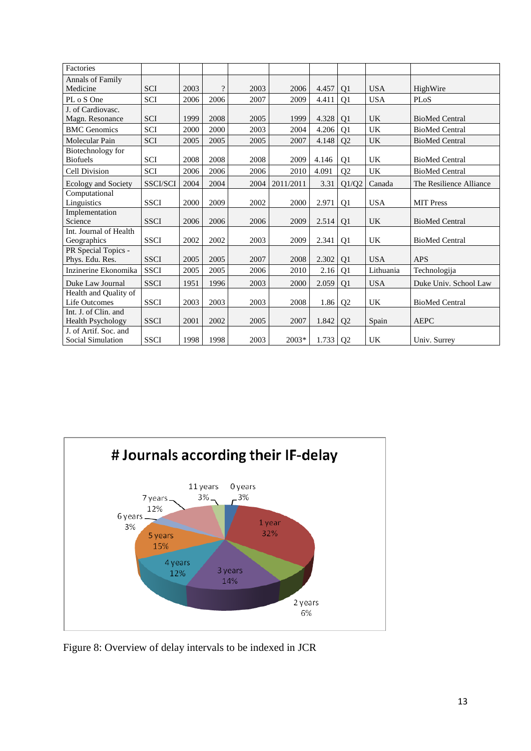| Factories                                        |                 |      |                          |      |           |       |                |            |                         |
|--------------------------------------------------|-----------------|------|--------------------------|------|-----------|-------|----------------|------------|-------------------------|
| <b>Annals of Family</b><br>Medicine              | <b>SCI</b>      | 2003 | $\overline{\mathcal{L}}$ | 2003 | 2006      | 4.457 | Q <sub>1</sub> | <b>USA</b> | HighWire                |
| PL o S One                                       | SCI             | 2006 | 2006                     | 2007 | 2009      | 4.411 | Q1             | <b>USA</b> | PLoS                    |
| J. of Cardiovasc.<br>Magn. Resonance             | <b>SCI</b>      | 1999 | 2008                     | 2005 | 1999      | 4.328 | Q <sub>1</sub> | <b>UK</b>  | <b>BioMed Central</b>   |
| <b>BMC</b> Genomics                              | <b>SCI</b>      | 2000 | 2000                     | 2003 | 2004      | 4.206 | Q1             | UK         | <b>BioMed Central</b>   |
| Molecular Pain                                   | <b>SCI</b>      | 2005 | 2005                     | 2005 | 2007      | 4.148 | Q2             | <b>UK</b>  | <b>BioMed Central</b>   |
| Biotechnology for<br><b>Biofuels</b>             | <b>SCI</b>      | 2008 | 2008                     | 2008 | 2009      | 4.146 | Q <sub>1</sub> | <b>UK</b>  | <b>BioMed Central</b>   |
| Cell Division                                    | <b>SCI</b>      | 2006 | 2006                     | 2006 | 2010      | 4.091 | Q2             | <b>UK</b>  | <b>BioMed Central</b>   |
| Ecology and Society                              | <b>SSCI/SCI</b> | 2004 | 2004                     | 2004 | 2011/2011 | 3.31  | Q1/Q2          | Canada     | The Resilience Alliance |
| Computational<br>Linguistics                     | <b>SSCI</b>     | 2000 | 2009                     | 2002 | 2000      | 2.971 | Q <sub>1</sub> | <b>USA</b> | <b>MIT Press</b>        |
| Implementation<br>Science                        | <b>SSCI</b>     | 2006 | 2006                     | 2006 | 2009      | 2.514 | Q <sub>1</sub> | <b>UK</b>  | <b>BioMed Central</b>   |
| Int. Journal of Health<br>Geographics            | <b>SSCI</b>     | 2002 | 2002                     | 2003 | 2009      | 2.341 | Q <sub>1</sub> | <b>UK</b>  | <b>BioMed Central</b>   |
| PR Special Topics -<br>Phys. Edu. Res.           | <b>SSCI</b>     | 2005 | 2005                     | 2007 | 2008      | 2.302 | Q <sub>1</sub> | <b>USA</b> | <b>APS</b>              |
| Inzinerine Ekonomika                             | <b>SSCI</b>     | 2005 | 2005                     | 2006 | 2010      | 2.16  | Q <sub>1</sub> | Lithuania  | Technologija            |
| Duke Law Journal                                 | <b>SSCI</b>     | 1951 | 1996                     | 2003 | 2000      | 2.059 | Q1             | <b>USA</b> | Duke Univ. School Law   |
| Health and Quality of<br><b>Life Outcomes</b>    | <b>SSCI</b>     | 2003 | 2003                     | 2003 | 2008      | 1.86  | Q <sub>2</sub> | UK         | <b>BioMed Central</b>   |
| Int. J. of Clin. and<br><b>Health Psychology</b> | <b>SSCI</b>     | 2001 | 2002                     | 2005 | 2007      | 1.842 | Q2             | Spain      | <b>AEPC</b>             |
| J. of Artif. Soc. and<br>Social Simulation       | <b>SSCI</b>     | 1998 | 1998                     | 2003 | 2003*     | 1.733 | Q <sub>2</sub> | <b>UK</b>  | Univ. Surrey            |



Figure 8: Overview of delay intervals to be indexed in JCR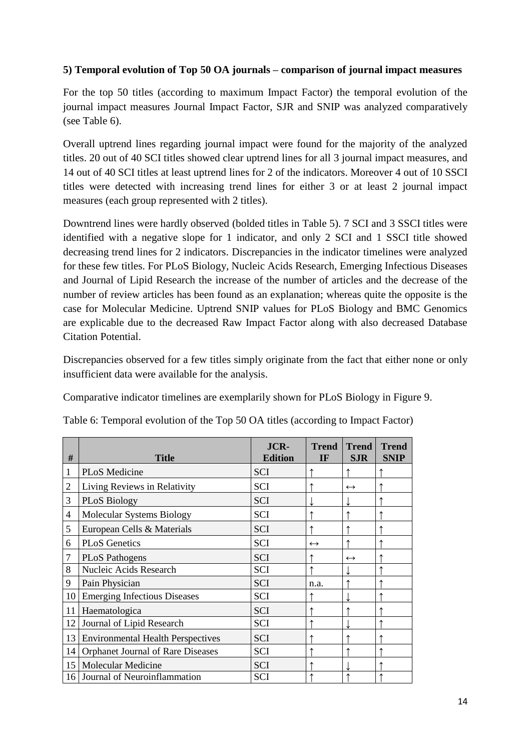## **5) Temporal evolution of Top 50 OA journals – comparison of journal impact measures**

For the top 50 titles (according to maximum Impact Factor) the temporal evolution of the journal impact measures Journal Impact Factor, SJR and SNIP was analyzed comparatively (see Table 6).

Overall uptrend lines regarding journal impact were found for the majority of the analyzed titles. 20 out of 40 SCI titles showed clear uptrend lines for all 3 journal impact measures, and 14 out of 40 SCI titles at least uptrend lines for 2 of the indicators. Moreover 4 out of 10 SSCI titles were detected with increasing trend lines for either 3 or at least 2 journal impact measures (each group represented with 2 titles).

Downtrend lines were hardly observed (bolded titles in Table 5). 7 SCI and 3 SSCI titles were identified with a negative slope for 1 indicator, and only 2 SCI and 1 SSCI title showed decreasing trend lines for 2 indicators. Discrepancies in the indicator timelines were analyzed for these few titles. For PLoS Biology, Nucleic Acids Research, Emerging Infectious Diseases and Journal of Lipid Research the increase of the number of articles and the decrease of the number of review articles has been found as an explanation; whereas quite the opposite is the case for Molecular Medicine. Uptrend SNIP values for PLoS Biology and BMC Genomics are explicable due to the decreased Raw Impact Factor along with also decreased Database Citation Potential.

Discrepancies observed for a few titles simply originate from the fact that either none or only insufficient data were available for the analysis.

Comparative indicator timelines are exemplarily shown for PLoS Biology in Figure 9.

| #              | <b>Title</b>                             | JCR-<br><b>Edition</b> | <b>Trend</b><br>IF | <b>Trend</b><br><b>SJR</b> | <b>Trend</b><br><b>SNIP</b> |
|----------------|------------------------------------------|------------------------|--------------------|----------------------------|-----------------------------|
| 1              | PLoS Medicine                            | <b>SCI</b>             |                    |                            |                             |
| $\overline{2}$ | Living Reviews in Relativity             | <b>SCI</b>             |                    | $\leftrightarrow$          |                             |
| 3              | <b>PLoS Biology</b>                      | <b>SCI</b>             |                    |                            |                             |
| 4              | Molecular Systems Biology                | <b>SCI</b>             |                    |                            |                             |
| 5              | European Cells & Materials               | <b>SCI</b>             |                    |                            |                             |
| 6              | <b>PLoS</b> Genetics                     | <b>SCI</b>             | $\leftrightarrow$  |                            |                             |
| 7              | <b>PLoS Pathogens</b>                    | <b>SCI</b>             |                    | $\leftrightarrow$          |                             |
| 8              | Nucleic Acids Research                   | <b>SCI</b>             |                    |                            |                             |
| 9              | Pain Physician                           | <b>SCI</b>             | n.a.               |                            |                             |
| 10             | <b>Emerging Infectious Diseases</b>      | <b>SCI</b>             |                    |                            |                             |
| 11             | Haematologica                            | <b>SCI</b>             |                    |                            |                             |
| 12             | Journal of Lipid Research                | <b>SCI</b>             |                    |                            |                             |
| 13             | <b>Environmental Health Perspectives</b> | <b>SCI</b>             |                    |                            |                             |
| 14             | <b>Orphanet Journal of Rare Diseases</b> | <b>SCI</b>             |                    |                            |                             |
| 15             | <b>Molecular Medicine</b>                | <b>SCI</b>             |                    |                            |                             |
| 16             | Journal of Neuroinflammation             | <b>SCI</b>             |                    |                            |                             |

Table 6: Temporal evolution of the Top 50 OA titles (according to Impact Factor)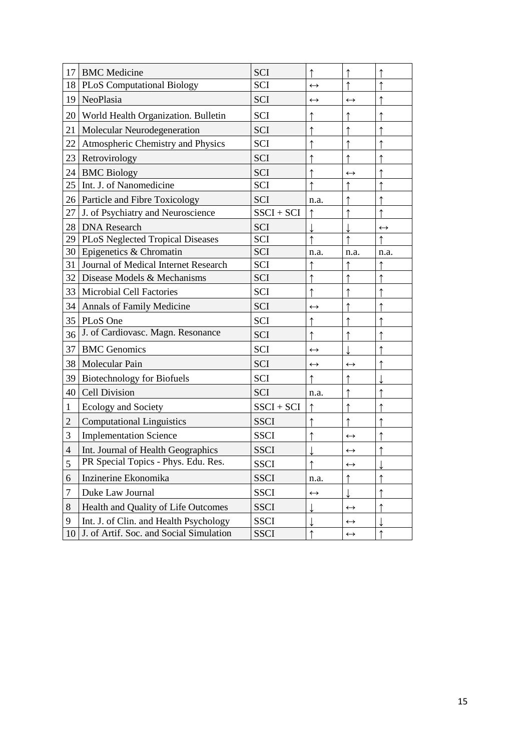| 17                       | <b>BMC</b> Medicine                     | <b>SCI</b>   |                   |                   |                   |
|--------------------------|-----------------------------------------|--------------|-------------------|-------------------|-------------------|
| 18                       | <b>PLoS Computational Biology</b>       | <b>SCI</b>   | $\leftrightarrow$ |                   |                   |
| 19                       | NeoPlasia                               | <b>SCI</b>   | $\leftrightarrow$ | $\leftrightarrow$ |                   |
| 20                       | World Health Organization. Bulletin     | <b>SCI</b>   |                   |                   |                   |
| 21                       | Molecular Neurodegeneration             | <b>SCI</b>   |                   |                   |                   |
| 22                       | Atmospheric Chemistry and Physics       | <b>SCI</b>   |                   |                   |                   |
| 23                       | Retrovirology                           | <b>SCI</b>   |                   |                   |                   |
| 24                       | <b>BMC Biology</b>                      | <b>SCI</b>   |                   | $\leftrightarrow$ |                   |
| 25                       | Int. J. of Nanomedicine                 | <b>SCI</b>   |                   |                   |                   |
|                          | 26 Particle and Fibre Toxicology        | <b>SCI</b>   | n.a.              |                   |                   |
| 27                       | J. of Psychiatry and Neuroscience       | $SSCI + SCI$ |                   |                   |                   |
| 28                       | <b>DNA</b> Research                     | <b>SCI</b>   |                   |                   | $\leftrightarrow$ |
| 29                       | PLoS Neglected Tropical Diseases        | <b>SCI</b>   |                   |                   |                   |
|                          | 30 Epigenetics & Chromatin              | <b>SCI</b>   | n.a.              | n.a.              | n.a.              |
| 31                       | Journal of Medical Internet Research    | SCI          |                   |                   |                   |
| 32                       | Disease Models & Mechanisms             | <b>SCI</b>   |                   |                   |                   |
| 33                       | <b>Microbial Cell Factories</b>         | <b>SCI</b>   |                   |                   |                   |
| 34                       | Annals of Family Medicine               | <b>SCI</b>   | $\leftrightarrow$ |                   |                   |
| 35                       | PLoS One                                | <b>SCI</b>   |                   |                   |                   |
| 36                       | J. of Cardiovasc. Magn. Resonance       | <b>SCI</b>   |                   |                   |                   |
| 37                       | <b>BMC</b> Genomics                     | <b>SCI</b>   | $\leftrightarrow$ |                   |                   |
| 38                       | Molecular Pain                          | <b>SCI</b>   | $\leftrightarrow$ | $\leftrightarrow$ |                   |
| 39                       | <b>Biotechnology for Biofuels</b>       | <b>SCI</b>   |                   |                   |                   |
| 40                       | <b>Cell Division</b>                    | <b>SCI</b>   | n.a.              |                   |                   |
| 1                        | Ecology and Society                     | $SSCI + SCI$ |                   |                   |                   |
| $\mathfrak{2}$           | <b>Computational Linguistics</b>        | <b>SSCI</b>  |                   |                   |                   |
| 3                        | <b>Implementation Science</b>           | <b>SSCI</b>  |                   | $\leftrightarrow$ |                   |
| $\overline{\mathcal{L}}$ | Int. Journal of Health Geographics      | <b>SSCI</b>  |                   | $\leftrightarrow$ |                   |
| 5                        | PR Special Topics - Phys. Edu. Res.     | <b>SSCI</b>  |                   | $\leftrightarrow$ |                   |
| 6                        | Inzinerine Ekonomika                    | <b>SSCI</b>  | n.a.              |                   |                   |
| 7                        | Duke Law Journal                        | <b>SSCI</b>  | $\leftrightarrow$ |                   |                   |
| 8                        | Health and Quality of Life Outcomes     | <b>SSCI</b>  |                   | $\leftrightarrow$ |                   |
| 9                        | Int. J. of Clin. and Health Psychology  | <b>SSCI</b>  |                   | $\leftrightarrow$ |                   |
| 10                       | J. of Artif. Soc. and Social Simulation | <b>SSCI</b>  |                   | $\leftrightarrow$ |                   |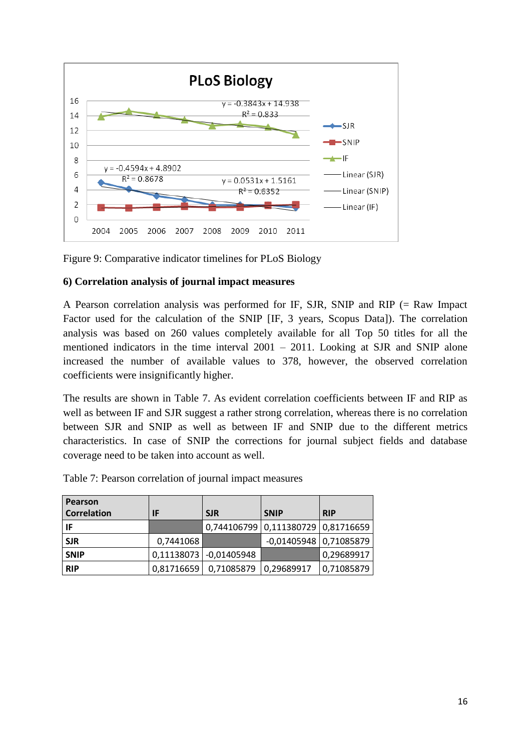

Figure 9: Comparative indicator timelines for PLoS Biology

### **6) Correlation analysis of journal impact measures**

A Pearson correlation analysis was performed for IF, SJR, SNIP and RIP (= Raw Impact Factor used for the calculation of the SNIP [IF, 3 years, Scopus Data]). The correlation analysis was based on 260 values completely available for all Top 50 titles for all the mentioned indicators in the time interval 2001 – 2011. Looking at SJR and SNIP alone increased the number of available values to 378, however, the observed correlation coefficients were insignificantly higher.

The results are shown in Table 7. As evident correlation coefficients between IF and RIP as well as between IF and SJR suggest a rather strong correlation, whereas there is no correlation between SJR and SNIP as well as between IF and SNIP due to the different metrics characteristics. In case of SNIP the corrections for journal subject fields and database coverage need to be taken into account as well.

| Pearson            |            |                        |                                    |            |
|--------------------|------------|------------------------|------------------------------------|------------|
| <b>Correlation</b> | IF         | <b>SJR</b>             | <b>SNIP</b>                        | <b>RIP</b> |
| IF                 |            |                        | 0,744106799 0,111380729 0,81716659 |            |
| <b>SJR</b>         | 0,7441068  |                        | $-0,01405948$ 0,71085879           |            |
| <b>SNIP</b>        |            | 0,11138073 -0,01405948 |                                    | 0,29689917 |
| <b>RIP</b>         | 0,81716659 | 0,71085879             | 0,29689917                         | 0,71085879 |

Table 7: Pearson correlation of journal impact measures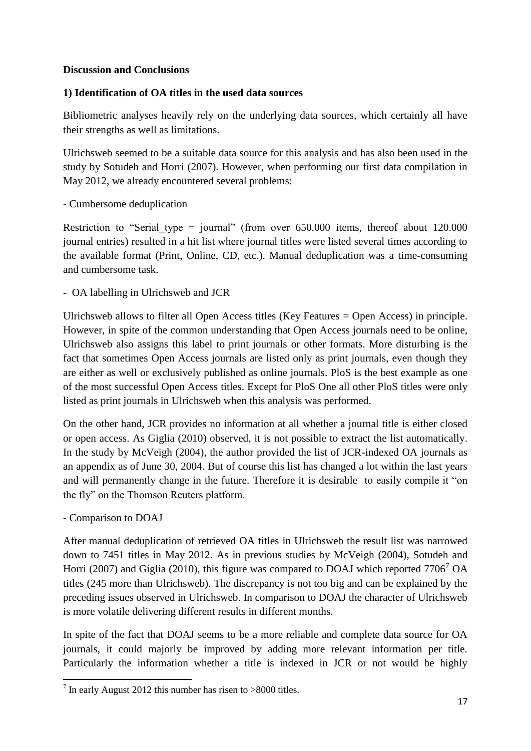## **Discussion and Conclusions**

## **1) Identification of OA titles in the used data sources**

Bibliometric analyses heavily rely on the underlying data sources, which certainly all have their strengths as well as limitations.

Ulrichsweb seemed to be a suitable data source for this analysis and has also been used in the study by Sotudeh and Horri (2007). However, when performing our first data compilation in May 2012, we already encountered several problems:

## - Cumbersome deduplication

Restriction to "Serial type = journal" (from over  $650.000$  items, thereof about 120.000 journal entries) resulted in a hit list where journal titles were listed several times according to the available format (Print, Online, CD, etc.). Manual deduplication was a time-consuming and cumbersome task.

- OA labelling in Ulrichsweb and JCR

Ulrichsweb allows to filter all Open Access titles (Key Features = Open Access) in principle. However, in spite of the common understanding that Open Access journals need to be online, Ulrichsweb also assigns this label to print journals or other formats. More disturbing is the fact that sometimes Open Access journals are listed only as print journals, even though they are either as well or exclusively published as online journals. PloS is the best example as one of the most successful Open Access titles. Except for PloS One all other PloS titles were only listed as print journals in Ulrichsweb when this analysis was performed.

On the other hand, JCR provides no information at all whether a journal title is either closed or open access. As Giglia (2010) observed, it is not possible to extract the list automatically. In the study by McVeigh (2004), the author provided the list of JCR-indexed OA journals as an appendix as of June 30, 2004. But of course this list has changed a lot within the last years and will permanently change in the future. Therefore it is desirable to easily compile it "on the fly" on the Thomson Reuters platform.

- Comparison to DOAJ

**.** 

After manual deduplication of retrieved OA titles in Ulrichsweb the result list was narrowed down to 7451 titles in May 2012. As in previous studies by McVeigh (2004), Sotudeh and Horri (2007) and Giglia (2010), this figure was compared to DOAJ which reported  $7706<sup>7</sup>$  OA titles (245 more than Ulrichsweb). The discrepancy is not too big and can be explained by the preceding issues observed in Ulrichsweb. In comparison to DOAJ the character of Ulrichsweb is more volatile delivering different results in different months.

In spite of the fact that DOAJ seems to be a more reliable and complete data source for OA journals, it could majorly be improved by adding more relevant information per title. Particularly the information whether a title is indexed in JCR or not would be highly

 $7$  In early August 2012 this number has risen to >8000 titles.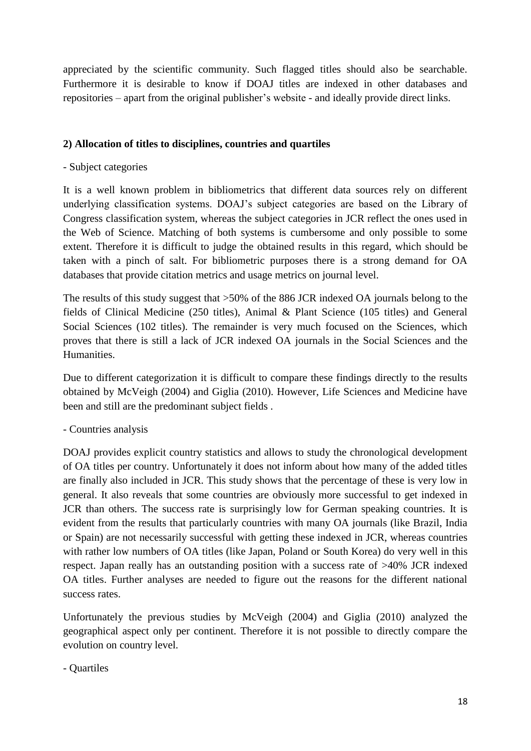appreciated by the scientific community. Such flagged titles should also be searchable. Furthermore it is desirable to know if DOAJ titles are indexed in other databases and repositories – apart from the original publisher's website - and ideally provide direct links.

## **2) Allocation of titles to disciplines, countries and quartiles**

### - Subject categories

It is a well known problem in bibliometrics that different data sources rely on different underlying classification systems. DOAJ's subject categories are based on the Library of Congress classification system, whereas the subject categories in JCR reflect the ones used in the Web of Science. Matching of both systems is cumbersome and only possible to some extent. Therefore it is difficult to judge the obtained results in this regard, which should be taken with a pinch of salt. For bibliometric purposes there is a strong demand for OA databases that provide citation metrics and usage metrics on journal level.

The results of this study suggest that >50% of the 886 JCR indexed OA journals belong to the fields of Clinical Medicine (250 titles), Animal & Plant Science (105 titles) and General Social Sciences (102 titles). The remainder is very much focused on the Sciences, which proves that there is still a lack of JCR indexed OA journals in the Social Sciences and the Humanities.

Due to different categorization it is difficult to compare these findings directly to the results obtained by McVeigh (2004) and Giglia (2010). However, Life Sciences and Medicine have been and still are the predominant subject fields .

### - Countries analysis

DOAJ provides explicit country statistics and allows to study the chronological development of OA titles per country. Unfortunately it does not inform about how many of the added titles are finally also included in JCR. This study shows that the percentage of these is very low in general. It also reveals that some countries are obviously more successful to get indexed in JCR than others. The success rate is surprisingly low for German speaking countries. It is evident from the results that particularly countries with many OA journals (like Brazil, India or Spain) are not necessarily successful with getting these indexed in JCR, whereas countries with rather low numbers of OA titles (like Japan, Poland or South Korea) do very well in this respect. Japan really has an outstanding position with a success rate of >40% JCR indexed OA titles. Further analyses are needed to figure out the reasons for the different national success rates.

Unfortunately the previous studies by McVeigh (2004) and Giglia (2010) analyzed the geographical aspect only per continent. Therefore it is not possible to directly compare the evolution on country level.

### - Quartiles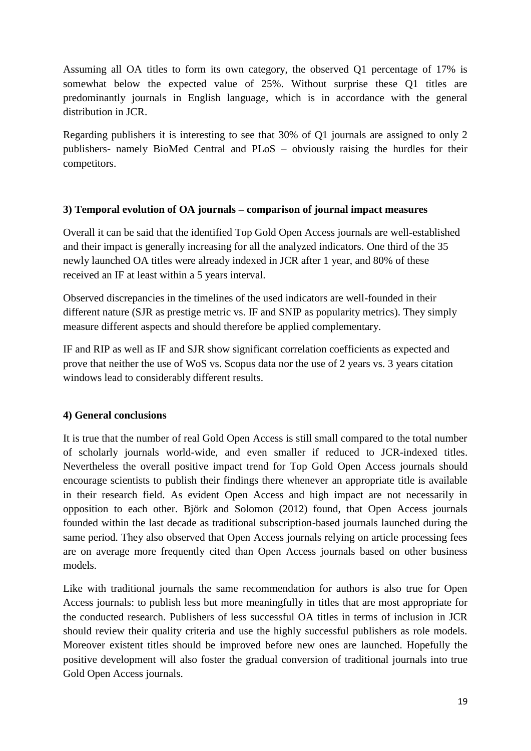Assuming all OA titles to form its own category, the observed Q1 percentage of 17% is somewhat below the expected value of 25%. Without surprise these Q1 titles are predominantly journals in English language, which is in accordance with the general distribution in JCR.

Regarding publishers it is interesting to see that 30% of Q1 journals are assigned to only 2 publishers- namely BioMed Central and PLoS – obviously raising the hurdles for their competitors.

### **3) Temporal evolution of OA journals – comparison of journal impact measures**

Overall it can be said that the identified Top Gold Open Access journals are well-established and their impact is generally increasing for all the analyzed indicators. One third of the 35 newly launched OA titles were already indexed in JCR after 1 year, and 80% of these received an IF at least within a 5 years interval.

Observed discrepancies in the timelines of the used indicators are well-founded in their different nature (SJR as prestige metric vs. IF and SNIP as popularity metrics). They simply measure different aspects and should therefore be applied complementary.

IF and RIP as well as IF and SJR show significant correlation coefficients as expected and prove that neither the use of WoS vs. Scopus data nor the use of 2 years vs. 3 years citation windows lead to considerably different results.

### **4) General conclusions**

It is true that the number of real Gold Open Access is still small compared to the total number of scholarly journals world-wide, and even smaller if reduced to JCR-indexed titles. Nevertheless the overall positive impact trend for Top Gold Open Access journals should encourage scientists to publish their findings there whenever an appropriate title is available in their research field. As evident Open Access and high impact are not necessarily in opposition to each other. Björk and Solomon (2012) found, that Open Access journals founded within the last decade as traditional subscription-based journals launched during the same period. They also observed that Open Access journals relying on article processing fees are on average more frequently cited than Open Access journals based on other business models.

Like with traditional journals the same recommendation for authors is also true for Open Access journals: to publish less but more meaningfully in titles that are most appropriate for the conducted research. Publishers of less successful OA titles in terms of inclusion in JCR should review their quality criteria and use the highly successful publishers as role models. Moreover existent titles should be improved before new ones are launched. Hopefully the positive development will also foster the gradual conversion of traditional journals into true Gold Open Access journals.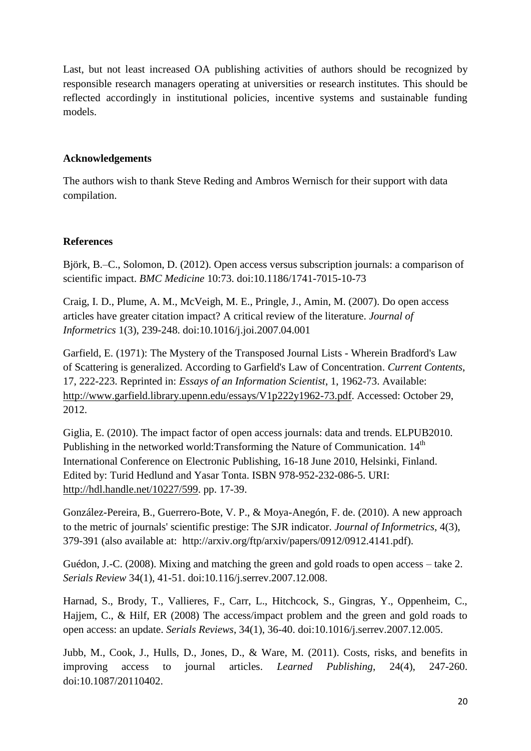Last, but not least increased OA publishing activities of authors should be recognized by responsible research managers operating at universities or research institutes. This should be reflected accordingly in institutional policies, incentive systems and sustainable funding models.

## **Acknowledgements**

The authors wish to thank Steve Reding and Ambros Wernisch for their support with data compilation.

## **References**

Björk, B.–C., Solomon, D. (2012). Open access versus subscription journals: a comparison of scientific impact. *BMC Medicine* 10:73. doi:10.1186/1741-7015-10-73

Craig, I. D., Plume, A. M., McVeigh, M. E., Pringle, J., Amin, M. (2007). Do open access articles have greater citation impact? A critical review of the literature. *Journal of Informetrics* 1(3), 239-248. doi:10.1016/j.joi.2007.04.001

Garfield, E. (1971): The Mystery of the Transposed Journal Lists - Wherein Bradford's Law of Scattering is generalized. According to Garfield's Law of Concentration. *Current Contents*, 17, 222-223. Reprinted in: *Essays of an Information Scientist*, 1, 1962-73. Available: [http://www.garfield.library.upenn.edu/essays/V1p222y1962-73.pdf.](http://www.garfield.library.upenn.edu/essays/V1p222y1962-73.pdf) Accessed: October 29, 2012.

Giglia, E. (2010). The impact factor of open access journals: data and trends. ELPUB2010. Publishing in the networked world:Transforming the Nature of Communication. 14<sup>th</sup> International Conference on Electronic Publishing, 16-18 June 2010, Helsinki, Finland. Edited by: Turid Hedlund and Yasar Tonta. ISBN 978-952-232-086-5. URI: [http://hdl.handle.net/10227/599.](http://hdl.handle.net/10227/599) pp. 17-39.

González-Pereira, B., Guerrero-Bote, V. P., & Moya-Anegón, F. de. (2010). A new approach to the metric of journals' scientific prestige: The SJR indicator. *Journal of Informetrics*, 4(3), 379-391 (also available at: [http://arxiv.org/ftp/arxiv/papers/0912/0912.4141.pdf\)](http://arxiv.org/ftp/arxiv/papers/0912/0912.4141.pdf).

Guédon, J.-C. (2008). Mixing and matching the green and gold roads to open access – take 2. *Serials Review* 34(1), 41-51. doi:10.116/j.serrev.2007.12.008.

Harnad, S., Brody, T., Vallieres, F., Carr, L., Hitchcock, S., Gingras, Y., Oppenheim, C., Hajjem, C., & Hilf, ER (2008) The access/impact problem and the green and gold roads to open access: an update. *Serials Reviews*, 34(1), 36-40. doi:10.1016/j.serrev.2007.12.005.

Jubb, M., Cook, J., Hulls, D., Jones, D., & Ware, M. (2011). Costs, risks, and benefits in improving access to journal articles. *Learned Publishing*, 24(4), 247-260. doi:10.1087/20110402.